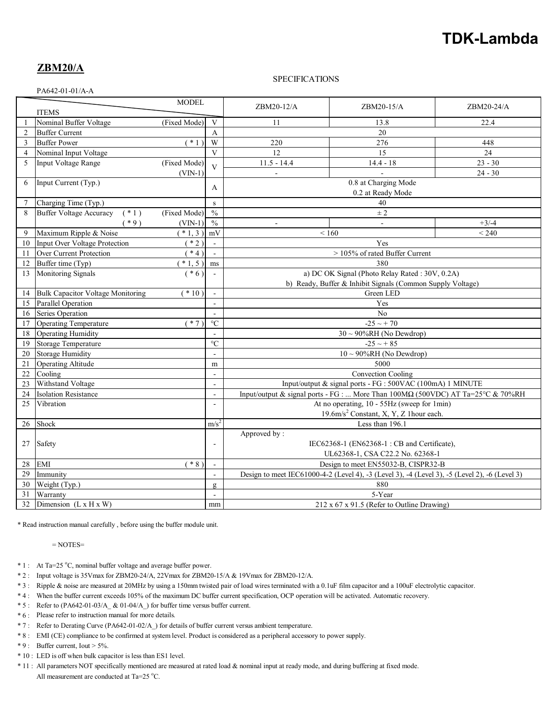# **TDK-Lambda**

## **ZBM20/A**

#### SPECIFICATIONS

PA642-01-01/A-A

| <b>MODEL</b><br><b>ITEMS</b> |                                           |                   |                          | ZBM20-12/A                                                                                    | ZBM20-15/A     | ZBM20-24/A |
|------------------------------|-------------------------------------------|-------------------|--------------------------|-----------------------------------------------------------------------------------------------|----------------|------------|
| 1                            | Nominal Buffer Voltage                    | (Fixed Mode)      | $\mathbf{V}$             | 11                                                                                            | 13.8           | 22.4       |
| $\overline{2}$               | <b>Buffer Current</b>                     |                   | $\mathsf{A}$             | 20                                                                                            |                |            |
| 3                            | <b>Buffer Power</b>                       | $\overline{(+1)}$ | W                        | 220                                                                                           | 276            | 448        |
| $\overline{4}$               | Nominal Input Voltage                     |                   | V                        | 12                                                                                            | 15             | 24         |
| 5                            | Input Voltage Range                       | (Fixed Mode)      | $\overline{V}$           | $11.5 - 14.4$                                                                                 | $14.4 - 18$    | $23 - 30$  |
|                              |                                           | $(VIN-1)$         |                          | ä,                                                                                            |                | $24 - 30$  |
| 6                            | Input Current (Typ.)                      |                   | A                        | 0.8 at Charging Mode                                                                          |                |            |
|                              |                                           |                   |                          | 0.2 at Ready Mode                                                                             |                |            |
| $7\phantom{.0}$              | Charging Time (Typ.)                      |                   | S                        | 40                                                                                            |                |            |
| 8                            | $(* 1)$<br><b>Buffer Voltage Accuracy</b> | (Fixed Mode)      | $\frac{0}{0}$            | ± 2                                                                                           |                |            |
|                              | $*9)$                                     | $(VIN-1)$         | $\frac{0}{0}$            | $\blacksquare$                                                                                | $\blacksquare$ | $+3/ -4$   |
| 9                            | Maximum Ripple & Noise                    | $*1,3)$           | mV                       | < 240<br>${}_{< 160}$                                                                         |                |            |
| 10                           | Input Over Voltage Protection             | $*2)$             | $\mathbf{r}$             | Yes                                                                                           |                |            |
| 11                           | Over Current Protection                   | $*4)$             | $\mathcal{L}$            | > 105% of rated Buffer Current                                                                |                |            |
| 12                           | Buffer time (Typ)                         | $*1, 5)$          | ms                       | 380                                                                                           |                |            |
| 13                           | Monitoring Signals                        | $(* 6)$           | $\mathbf{r}$             | a) DC OK Signal (Photo Relay Rated: 30V, 0.2A)                                                |                |            |
|                              |                                           |                   |                          | b) Ready, Buffer & Inhibit Signals (Common Supply Voltage)                                    |                |            |
| 14                           | <b>Bulk Capacitor Voltage Monitoring</b>  | $(*10)$           |                          | Green LED                                                                                     |                |            |
| 15                           | Parallel Operation                        |                   | $\mathbf{r}$             | Yes                                                                                           |                |            |
| 16                           | Series Operation                          |                   | $\omega$                 | N <sub>o</sub>                                                                                |                |            |
| 17                           | <b>Operating Temperature</b>              | $*7)$             | $\rm ^{\circ}C$          | $-25 \sim +70$                                                                                |                |            |
| 18                           | <b>Operating Humidity</b>                 |                   | $\sim$                   | $30 \sim 90\% RH$ (No Dewdrop)                                                                |                |            |
| 19                           | Storage Temperature                       |                   | $\overline{C}$           | $-25 \sim +85$                                                                                |                |            |
| 20                           | <b>Storage Humidity</b>                   |                   | $\overline{a}$           | $10 \sim 90\% RH$ (No Dewdrop)                                                                |                |            |
| 21                           | <b>Operating Altitude</b>                 |                   | m                        | 5000                                                                                          |                |            |
| 22                           | Cooling                                   |                   | $\blacksquare$           | Convection Cooling                                                                            |                |            |
| 23                           | Withstand Voltage                         |                   | $\sim$                   | Input/output & signal ports - FG : 500VAC (100mA) 1 MINUTE                                    |                |            |
| 24                           | <b>Isolation Resistance</b>               |                   | $\overline{\phantom{a}}$ | Input/output & signal ports - FG :  More Than 100M $\Omega$ (500VDC) AT Ta=25°C & 70%RH       |                |            |
| 25                           | Vibration                                 |                   |                          | At no operating, 10 - 55Hz (sweep for 1min)                                                   |                |            |
|                              |                                           |                   |                          | 19.6m/s <sup>2</sup> Constant, X, Y, Z 1hour each.                                            |                |            |
| 26                           | Shock                                     |                   | m/s <sup>2</sup>         | Less than 196.1                                                                               |                |            |
| 27                           |                                           |                   |                          | Approved by:                                                                                  |                |            |
|                              | Safety                                    |                   | $\overline{\phantom{a}}$ | IEC62368-1 (EN62368-1: CB and Certificate),                                                   |                |            |
|                              |                                           |                   |                          | UL62368-1, CSA C22.2 No. 62368-1                                                              |                |            |
| 28                           | <b>EMI</b>                                | $*8)$             | $\mathcal{L}$            | Design to meet EN55032-B, CISPR32-B                                                           |                |            |
| 29                           | Immunity                                  |                   | $\blacksquare$           | Design to meet IEC61000-4-2 (Level 4), -3 (Level 3), -4 (Level 3), -5 (Level 2), -6 (Level 3) |                |            |
| 30                           | Weight (Typ.)                             |                   | g                        | 880                                                                                           |                |            |
| 31                           | Warranty<br>5-Year<br>$\sim$              |                   |                          |                                                                                               |                |            |
| 32                           | Dimension $(L \times H \times W)$         |                   | mm                       | $212 \times 67 \times 91.5$ (Refer to Outline Drawing)                                        |                |            |

\* Read instruction manual carefully , before using the buffer module unit.

 $=$  NOTES $=$ 

- \* 1 : At Ta=25 °C, nominal buffer voltage and average buffer power.
- \* 2 : Input voltage is 35Vmax for ZBM20-24/A, 22Vmax for ZBM20-15/A & 19Vmax for ZBM20-12/A.
- \* 3 : Ripple & noise are measured at 20MHz by using a 150mm twisted pair of load wires terminated with a 0.1uF film capacitor and a 100uF electrolytic capacitor.
- \* 4 : When the buffer current exceeds 105% of the maximum DC buffer current specification, OCP operation will be activated. Automatic recovery.
- \* 5 : Refer to (PA642-01-03/A\_ & 01-04/A\_) for buffer time versus buffer current.
- \* 6 : Please refer to instruction manual for more details.
- \* 7 : Refer to Derating Curve (PA642-01-02/A\_) for details of buffer current versus ambient temperature.
- \* 8 : EMI (CE) compliance to be confirmed at system level. Product is considered as a peripheral accessory to power supply.
- $* 9$ : Buffer current, Iout > 5%.
- \* 10 : LED is off when bulk capacitor is less than ES1 level.
- \* 11 : All parameters NOT specifically mentioned are measured at rated load & nominal input at ready mode, and during buffering at fixed mode. All measurement are conducted at Ta=25  $^{\circ}$ C.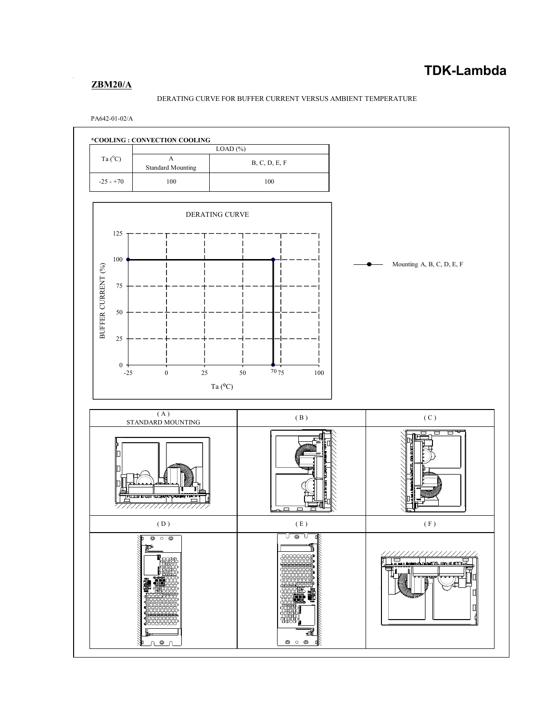## **ZBM20/A**

#### DERATING CURVE FOR BUFFER CURRENT VERSUS AMBIENT TEMPERATURE

PA642-01-02/A

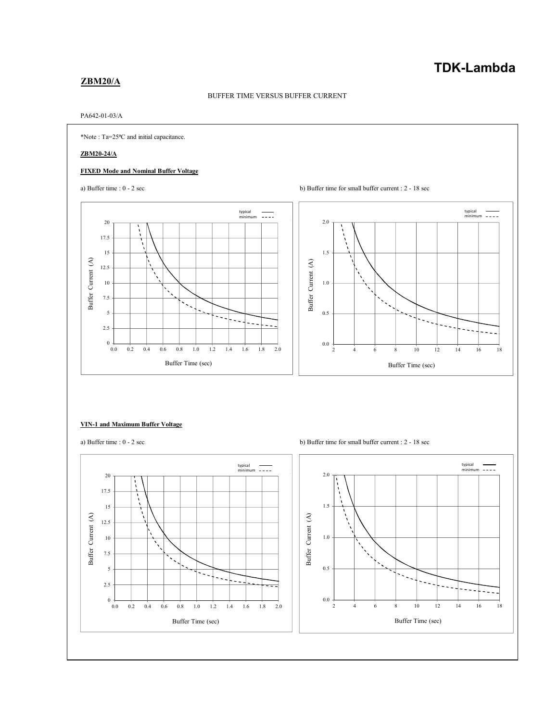## **TDK-Lambda**

#### **ZBM20/A**

#### BUFFER TIME VERSUS BUFFER CURRENT

#### PA642-01-03/A



#### **VIN-1 and Maximum Buffer Voltage**



a) Buffer time : 0 - 2 sec b) Buffer time for small buffer current : 2 - 18 sec